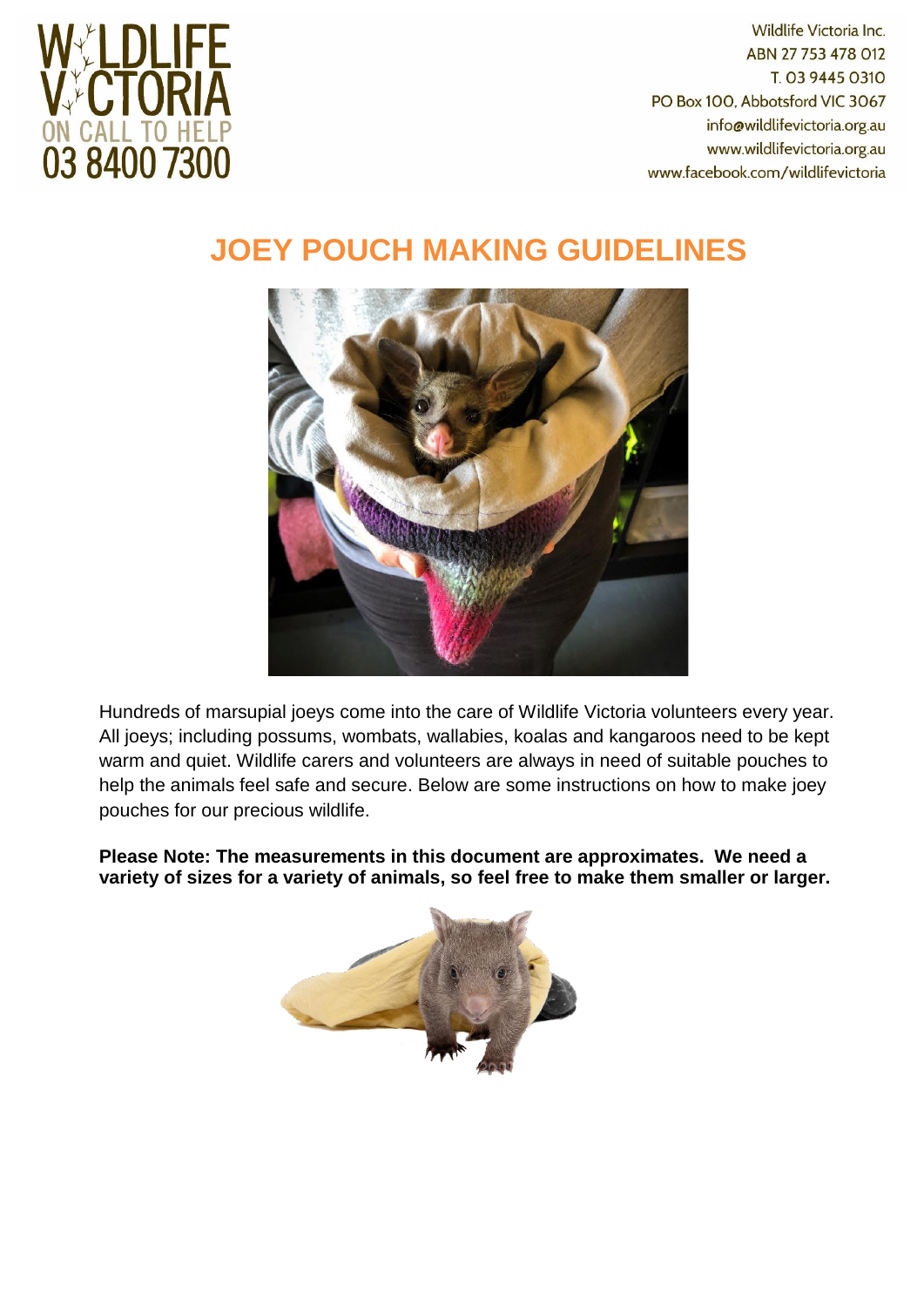

Wildlife Victoria Inc. ABN 27 753 478 012 T. 03 9445 0310 PO Box 100, Abbotsford VIC 3067 info@wildlifevictoria.org.au www.wildlifevictoria.org.au www.facebook.com/wildlifevictoria

## **JOEY POUCH MAKING GUIDELINES**



Hundreds of marsupial joeys come into the care of Wildlife Victoria volunteers every year. All joeys; including possums, wombats, wallabies, koalas and kangaroos need to be kept warm and quiet. Wildlife carers and volunteers are always in need of suitable pouches to help the animals feel safe and secure. Below are some instructions on how to make joey pouches for our precious wildlife.

**Please Note: The measurements in this document are approximates. We need a variety of sizes for a variety of animals, so feel free to make them smaller or larger.**

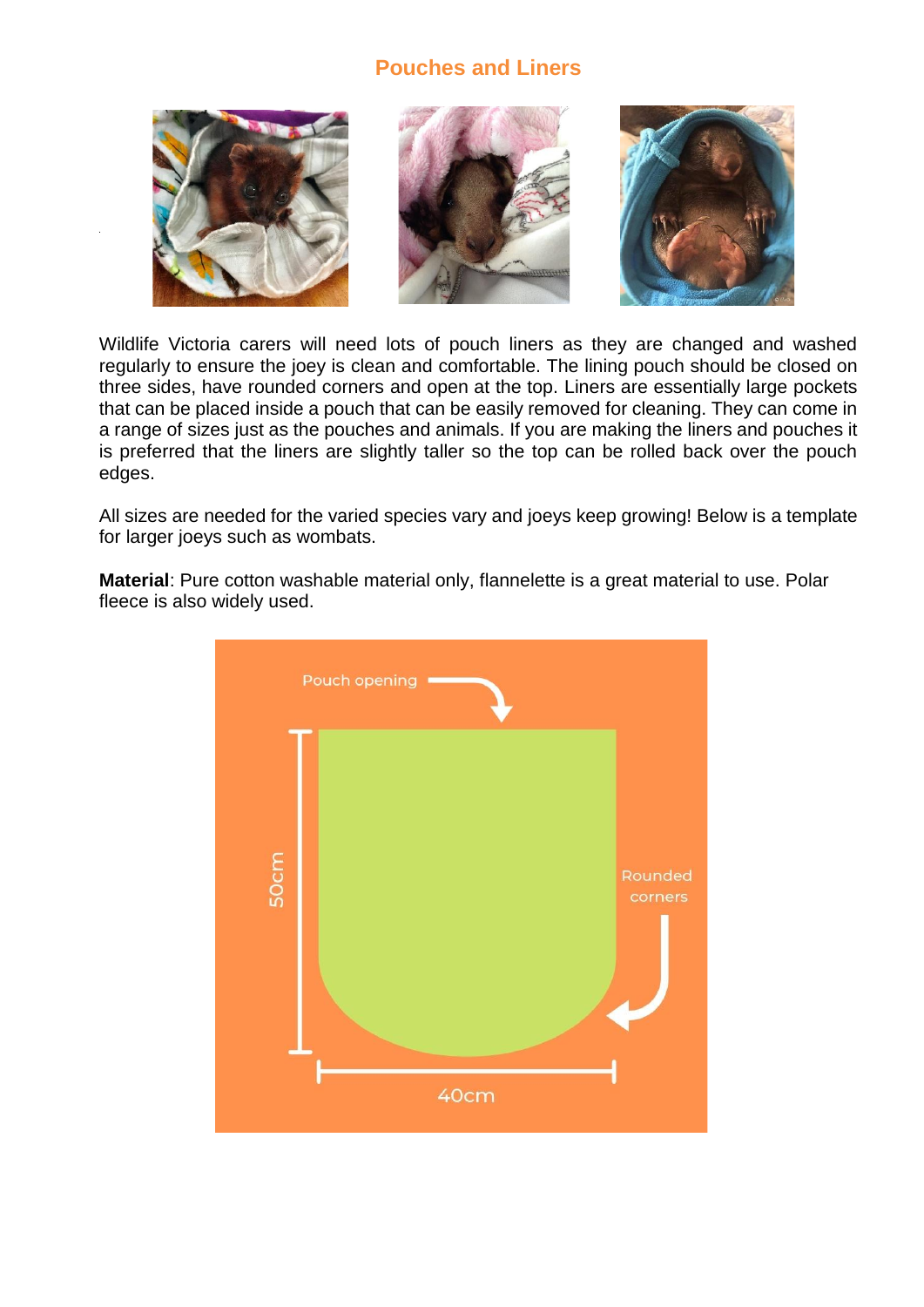## **Pouches and Liners**



Wildlife Victoria carers will need lots of pouch liners as they are changed and washed regularly to ensure the joey is clean and comfortable. The lining pouch should be closed on three sides, have rounded corners and open at the top. Liners are essentially large pockets that can be placed inside a pouch that can be easily removed for cleaning. They can come in a range of sizes just as the pouches and animals. If you are making the liners and pouches it is preferred that the liners are slightly taller so the top can be rolled back over the pouch edges.

All sizes are needed for the varied species vary and joeys keep growing! Below is a template for larger joeys such as wombats.

**Material**: Pure cotton washable material only, flannelette is a great material to use. Polar fleece is also widely used.